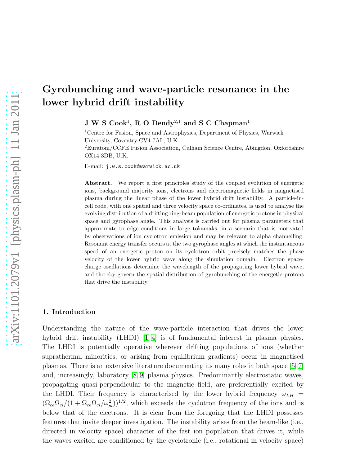# Gyrobunching and wave-particle resonance in the lower hybrid drift instability

 $J W S Cook<sup>1</sup>, R O Dendy<sup>2,1</sup>$  and  $S C Chapman<sup>1</sup>$ 

<sup>1</sup>Centre for Fusion, Space and Astrophysics, Department of Physics, Warwick University, Coventry CV4 7AL, U.K. <sup>2</sup>Euratom/CCFE Fusion Association, Culham Science Centre, Abingdon, Oxfordshire OX14 3DB, U.K.

E-mail: j.w.s.cook@warwick.ac.uk

Abstract. We report a first principles study of the coupled evolution of energetic ions, background majority ions, electrons and electromagnetic fields in magnetised plasma during the linear phase of the lower hybrid drift instability. A particle-incell code, with one spatial and three velocity space co-ordinates, is used to analyse the evolving distribution of a drifting ring-beam population of energetic protons in physical space and gyrophase angle. This analysis is carried out for plasma parameters that approximate to edge conditions in large tokamaks, in a scenario that is motivated by observations of ion cyclotron emission and may be relevant to alpha channelling. Resonant energy transfer occurs at the two gyrophase angles at which the instantaneous speed of an energetic proton on its cyclotron orbit precisely matches the phase velocity of the lower hybrid wave along the simulation domain. Electron spacecharge oscillations determine the wavelength of the propagating lower hybrid wave, and thereby govern the spatial distribution of gyrobunching of the energetic protons that drive the instability.

#### 1. Introduction

Understanding the nature of the wave-particle interaction that drives the lower hybrid drift instability (LHDI) [\[1](#page-7-0)[–4\]](#page-7-1) is of fundamental interest in plasma physics. The LHDI is potentially operative wherever drifting populations of ions (whether suprathermal minorities, or arising from equilibrium gradients) occur in magnetised plasmas. There is an extensive literature documenting its many roles in both space [\[5–](#page-8-0)[7\]](#page-8-1) and, increasingly, laboratory [\[8,](#page-8-2) [9\]](#page-8-3) plasma physics. Predominantly electrostatic waves, propagating quasi-perpendicular to the magnetic field, are preferentially excited by the LHDI. Their frequency is characterised by the lower hybrid frequency  $\omega_{LH}$  =  $(\Omega_{ce} \Omega_{ci}/(1 + \Omega_{ce} \Omega_{ci}/\omega_{pi}^2))^{1/2}$ , which exceeds the cyclotron frequency of the ions and is below that of the electrons. It is clear from the foregoing that the LHDI possesses features that invite deeper investigation. The instability arises from the beam-like (i.e., directed in velocity space) character of the fast ion population that drives it, while the waves excited are conditioned by the cyclotronic (i.e., rotational in velocity space)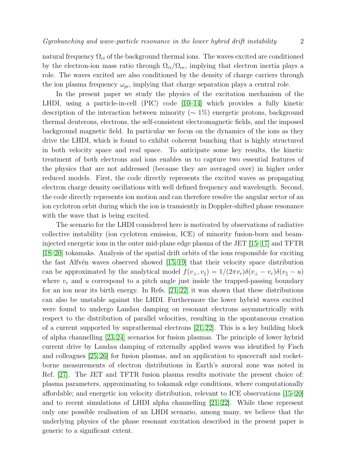natural frequency  $\Omega_{ci}$  of the background thermal ions. The waves excited are conditioned by the electron-ion mass ratio through  $\Omega_{ci}/\Omega_{ce}$ , implying that electron inertia plays a role. The waves excited are also conditioned by the density of charge carriers through the ion plasma frequency  $\omega_{pi}$ , implying that charge separation plays a central role.

In the present paper we study the physics of the excitation mechanism of the LHDI, using a particle-in-cell (PIC) code [\[10](#page-8-4)[–14\]](#page-8-5) which provides a fully kinetic description of the interaction between minority (∼ 1%) energetic protons, background thermal deuterons, electrons, the self-consistent electromagnetic fields, and the imposed background magnetic field. In particular we focus on the dynamics of the ions as they drive the LHDI, which is found to exhibit coherent bunching that is highly structured in both velocity space and real space. To anticipate some key results, the kinetic treatment of both electrons and ions enables us to capture two essential features of the physics that are not addressed (because they are averaged over) in higher order reduced models. First, the code directly represents the excited waves as propagating electron charge density oscillations with well defined frequency and wavelength. Second, the code directly represents ion motion and can therefore resolve the angular sector of an ion cyclotron orbit during which the ion is transiently in Doppler-shifted phase resonance with the wave that is being excited.

The scenario for the LHDI considered here is motivated by observations of radiative collective instability (ion cyclotron emission, ICE) of minority fusion-born and beaminjected energetic ions in the outer mid-plane edge plasma of the JET [\[15–](#page-8-6)[17\]](#page-8-7) and TFTR [\[18–](#page-8-8)[20\]](#page-8-9) tokamaks. Analysis of the spatial drift orbits of the ions responsible for exciting the fast Alfvén waves observed showed  $[15, 19]$  $[15, 19]$  that their velocity space distribution can be approximated by the analytical model  $f(v_\perp, v_\parallel) = 1/(2\pi v_r)\delta(v_\perp - v_r)\delta(v_\parallel - u)$ where  $v_r$  and u correspond to a pitch angle just inside the trapped-passing boundary for an ion near its birth energy. In Refs. [\[21,](#page-8-11) [22\]](#page-8-12) it was shown that these distributions can also be unstable against the LHDI. Furthermore the lower hybrid waves excited were found to undergo Landau damping on resonant electrons asymmetrically with respect to the distribution of parallel velocities, resulting in the spontaneous creation of a current supported by suprathermal electrons [\[21,](#page-8-11) [22\]](#page-8-12). This is a key building block of alpha channelling [\[23,](#page-8-13)[24\]](#page-8-14) scenarios for fusion plasmas. The principle of lower hybrid current drive by Landau damping of externally applied waves was identified by Fisch and colleagues [\[25,](#page-8-15) [26\]](#page-8-16) for fusion plasmas, and an application to spacecraft and rocketborne measurements of electron distributions in Earth's auroral zone was noted in Ref. [\[27\]](#page-8-17). The JET and TFTR fusion plasma results motivate the present choice of: plasma parameters, approximating to tokamak edge conditions, where computationally affordable; and energetic ion velocity distribution, relevant to ICE observations [\[15–](#page-8-6)[20\]](#page-8-9) and to recent simulations of LHDI alpha channelling [\[21,](#page-8-11) [22\]](#page-8-12). While these represent only one possible realisation of an LHDI scenario, among many, we believe that the underlying physics of the phase resonant excitation described in the present paper is generic to a significant extent.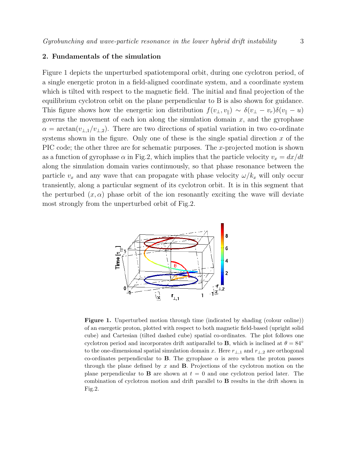## 2. Fundamentals of the simulation

Figure 1 depicts the unperturbed spatiotemporal orbit, during one cyclotron period, of a single energetic proton in a field-aligned coordinate system, and a coordinate system which is tilted with respect to the magnetic field. The initial and final projection of the equilibrium cyclotron orbit on the plane perpendicular to B is also shown for guidance. This figure shows how the energetic ion distribution  $f(v_\perp, v_\parallel) \sim \delta(v_\perp - v_r)\delta(v_\parallel - u)$ governs the movement of each ion along the simulation domain  $x$ , and the gyrophase  $\alpha = \arctan(v_{\perp,1}/v_{\perp,2})$ . There are two directions of spatial variation in two co-ordinate systems shown in the figure. Only one of these is the single spatial direction  $x$  of the PIC code; the other three are for schematic purposes. The x-projected motion is shown as a function of gyrophase  $\alpha$  in Fig.2, which implies that the particle velocity  $v_x = dx/dt$ along the simulation domain varies continuously, so that phase resonance between the particle  $v_x$  and any wave that can propagate with phase velocity  $\omega/k_x$  will only occur transiently, along a particular segment of its cyclotron orbit. It is in this segment that the perturbed  $(x, \alpha)$  phase orbit of the ion resonantly exciting the wave will deviate most strongly from the unperturbed orbit of Fig.2.



Figure 1. Unperturbed motion through time (indicated by shading (colour online)) of an energetic proton, plotted with respect to both magnetic field-based (upright solid cube) and Cartesian (tilted dashed cube) spatial co-ordinates. The plot follows one cyclotron period and incorporates drift antiparallel to **B**, which is inclined at  $\theta = 84°$ to the one-dimensional spatial simulation domain x. Here  $r_{\perp,1}$  and  $r_{\perp,2}$  are orthogonal co-ordinates perpendicular to **B**. The gyrophase  $\alpha$  is zero when the proton passes through the plane defined by  $x$  and  $\bf{B}$ . Projections of the cyclotron motion on the plane perpendicular to **B** are shown at  $t = 0$  and one cyclotron period later. The combination of cyclotron motion and drift parallel to B results in the drift shown in Fig.2.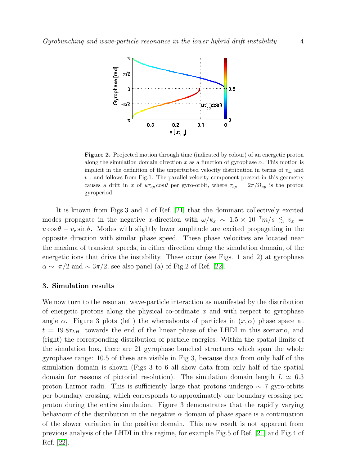

Figure 2. Projected motion through time (indicated by colour) of an energetic proton along the simulation domain direction x as a function of gyrophase  $\alpha$ . This motion is implicit in the definition of the unperturbed velocity distribution in terms of  $v_{\perp}$  and  $v_{\parallel}$ , and follows from Fig.1. The parallel velocity component present in this geometry causes a drift in x of  $u\tau_{cp}\cos\theta$  per gyro-orbit, where  $\tau_{cp} = 2\pi/\Omega_{cp}$  is the proton gyroperiod.

It is known from Figs.3 and 4 of Ref. [\[21\]](#page-8-11) that the dominant collectively excited modes propagate in the negative x-direction with  $\omega/k_x \sim 1.5 \times 10^{-7} m/s \le v_x$  $u \cos \theta - v_r \sin \theta$ . Modes with slightly lower amplitude are excited propagating in the opposite direction with similar phase speed. These phase velocities are located near the maxima of transient speeds, in either direction along the simulation domain, of the energetic ions that drive the instability. These occur (see Figs. 1 and 2) at gyrophase  $\alpha \sim \pi/2$  and  $\sim 3\pi/2$ ; see also panel (a) of Fig.2 of Ref. [\[22\]](#page-8-12).

## 3. Simulation results

We now turn to the resonant wave-particle interaction as manifested by the distribution of energetic protons along the physical co-ordinate  $x$  and with respect to gyrophase angle  $\alpha$ . Figure 3 plots (left) the whereabouts of particles in  $(x, \alpha)$  phase space at  $t = 19.8\tau_{LH}$ , towards the end of the linear phase of the LHDI in this scenario, and (right) the corresponding distribution of particle energies. Within the spatial limits of the simulation box, there are 21 gyrophase bunched structures which span the whole gyrophase range: 10.5 of these are visible in Fig 3, because data from only half of the simulation domain is shown (Figs 3 to 6 all show data from only half of the spatial domain for reasons of pictorial resolution). The simulation domain length  $L \approx 6.3$ proton Larmor radii. This is sufficiently large that protons undergo  $\sim 7$  gyro-orbits per boundary crossing, which corresponds to approximately one boundary crossing per proton during the entire simulation. Figure 3 demonstrates that the rapidly varying behaviour of the distribution in the negative  $\alpha$  domain of phase space is a continuation of the slower variation in the positive domain. This new result is not apparent from previous analysis of the LHDI in this regime, for example Fig.5 of Ref. [\[21\]](#page-8-11) and Fig.4 of Ref. [\[22\]](#page-8-12).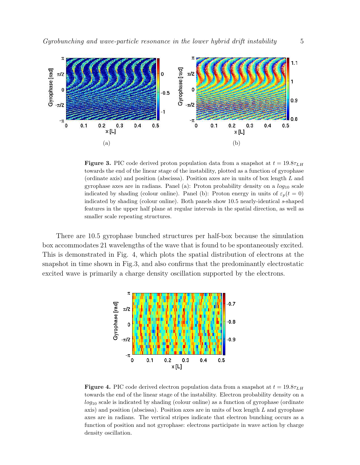

**Figure 3.** PIC code derived proton population data from a snapshot at  $t = 19.8\tau_{LH}$ towards the end of the linear stage of the instability, plotted as a function of gyrophase (ordinate axis) and position (abscissa). Position axes are in units of box length L and gyrophase axes are in radians. Panel (a): Proton probability density on a  $log_{10}$  scale indicated by shading (colour online). Panel (b): Proton energy in units of  $\varepsilon_p(t=0)$ indicated by shading (colour online). Both panels show 10.5 nearly-identical s-shaped features in the upper half plane at regular intervals in the spatial direction, as well as smaller scale repeating structures.

There are 10.5 gyrophase bunched structures per half-box because the simulation box accommodates 21 wavelengths of the wave that is found to be spontaneously excited. This is demonstrated in Fig. 4, which plots the spatial distribution of electrons at the snapshot in time shown in Fig.3, and also confirms that the predominantly electrostatic excited wave is primarily a charge density oscillation supported by the electrons.



**Figure 4.** PIC code derived electron population data from a snapshot at  $t = 19.8\tau_{LH}$ towards the end of the linear stage of the instability. Electron probability density on a  $log_{10}$  scale is indicated by shading (colour online) as a function of gyrophase (ordinate axis) and position (abscissa). Position axes are in units of box length  $L$  and gyrophase axes are in radians. The vertical stripes indicate that electron bunching occurs as a function of position and not gyrophase: electrons participate in wave action by charge density oscillation.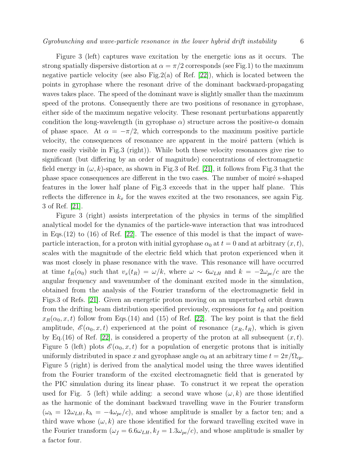Figure 3 (left) captures wave excitation by the energetic ions as it occurs. The strong spatially dispersive distortion at  $\alpha = \pi/2$  corresponds (see Fig.1) to the maximum negative particle velocity (see also Fig. 2(a) of Ref.  $[22]$ ), which is located between the points in gyrophase where the resonant drive of the dominant backward-propagating waves takes place. The speed of the dominant wave is slightly smaller than the maximum speed of the protons. Consequently there are two positions of resonance in gyrophase, either side of the maximum negative velocity. These resonant perturbations apparently condition the long-wavelength (in gyrophase  $\alpha$ ) structure across the positive- $\alpha$  domain of phase space. At  $\alpha = -\pi/2$ , which corresponds to the maximum positive particle velocity, the consequences of resonance are apparent in the moiré pattern (which is more easily visible in Fig.3 (right)). While both these velocity resonances give rise to significant (but differing by an order of magnitude) concentrations of electromagnetic field energy in  $(\omega, k)$ -space, as shown in Fig.3 of Ref. [\[21\]](#page-8-11), it follows from Fig.3 that the phase space consequences are different in the two cases. The number of moiré s-shaped features in the lower half plane of Fig.3 exceeds that in the upper half plane. This reflects the difference in  $k_x$  for the waves excited at the two resonances, see again Fig. 3 of Ref. [\[21\]](#page-8-11).

Figure 3 (right) assists interpretation of the physics in terms of the simplified analytical model for the dynamics of the particle-wave interaction that was introduced in Eqs.(12) to (16) of Ref. [\[22\]](#page-8-12). The essence of this model is that the impact of waveparticle interaction, for a proton with initial gyrophase  $\alpha_0$  at  $t = 0$  and at arbitrary  $(x, t)$ , scales with the magnitude of the electric field which that proton experienced when it was most closely in phase resonance with the wave. This resonance will have occurred at time  $t_R(\alpha_0)$  such that  $v_x(t_R) = \omega/k$ , where  $\omega \sim 6\omega_{LH}$  and  $k = -2\omega_{pe}/c$  are the angular frequency and wavenumber of the dominant excited mode in the simulation, obtained from the analysis of the Fourier transform of the electromagnetic field in Figs.3 of Refs. [\[21\]](#page-8-11). Given an energetic proton moving on an unperturbed orbit drawn from the drifting beam distribution specified previously, expressions for  $t_R$  and position  $x_R(\alpha_0, x, t)$  follow from Eqs.(14) and (15) of Ref. [\[22\]](#page-8-12). The key point is that the field amplitude,  $\mathscr{E}(\alpha_0, x, t)$  experienced at the point of resonance  $(x_R, t_R)$ , which is given by Eq.(16) of Ref. [\[22\]](#page-8-12), is considered a property of the proton at all subsequent  $(x, t)$ . Figure 5 (left) plots  $\mathscr{E}(\alpha_0, x, t)$  for a population of energetic protons that is initially uniformly distributed in space x and gyrophase angle  $\alpha_0$  at an arbitrary time  $t = 2\pi/\Omega_{cp}$ . Figure 5 (right) is derived from the analytical model using the three waves identified from the Fourier transform of the excited electromagnetic field that is generated by the PIC simulation during its linear phase. To construct it we repeat the operation used for Fig. 5 (left) while adding: a second wave whose  $(\omega, k)$  are those identified as the harmonic of the dominant backward travelling wave in the Fourier transform  $(\omega_h = 12\omega_{LH}, k_h = -4\omega_{pe}/c)$ , and whose amplitude is smaller by a factor ten; and a third wave whose  $(\omega, k)$  are those identified for the forward travelling excited wave in the Fourier transform  $(\omega_f = 6.6 \omega_{LH}, k_f = 1.3 \omega_{pe}/c)$ , and whose amplitude is smaller by a factor four.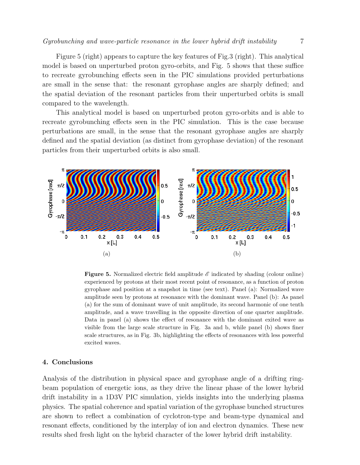Figure 5 (right) appears to capture the key features of Fig.3 (right). This analytical model is based on unperturbed proton gyro-orbits, and Fig. 5 shows that these suffice to recreate gyrobunching effects seen in the PIC simulations provided perturbations are small in the sense that: the resonant gyrophase angles are sharply defined; and the spatial deviation of the resonant particles from their unperturbed orbits is small compared to the wavelength.

This analytical model is based on unperturbed proton gyro-orbits and is able to recreate gyrobunching effects seen in the PIC simulation. This is the case because perturbations are small, in the sense that the resonant gyrophase angles are sharply defined and the spatial deviation (as distinct from gyrophase deviation) of the resonant particles from their unperturbed orbits is also small.



**Figure 5.** Normalized electric field amplitude  $\mathscr E$  indicated by shading (colour online) experienced by protons at their most recent point of resonance, as a function of proton gyrophase and position at a snapshot in time (see text). Panel (a): Normalized wave amplitude seen by protons at resonance with the dominant wave. Panel (b): As panel (a) for the sum of dominant wave of unit amplitude, its second harmonic of one tenth amplitude, and a wave travelling in the opposite direction of one quarter amplitude. Data in panel (a) shows the effect of resonance with the dominant exited wave as visible from the large scale structure in Fig. 3a and b, while panel (b) shows finer scale structures, as in Fig. 3b, highlighting the effects of resonances with less powerful excited waves.

## 4. Conclusions

Analysis of the distribution in physical space and gyrophase angle of a drifting ringbeam population of energetic ions, as they drive the linear phase of the lower hybrid drift instability in a 1D3V PIC simulation, yields insights into the underlying plasma physics. The spatial coherence and spatial variation of the gyrophase bunched structures are shown to reflect a combination of cyclotron-type and beam-type dynamical and resonant effects, conditioned by the interplay of ion and electron dynamics. These new results shed fresh light on the hybrid character of the lower hybrid drift instability.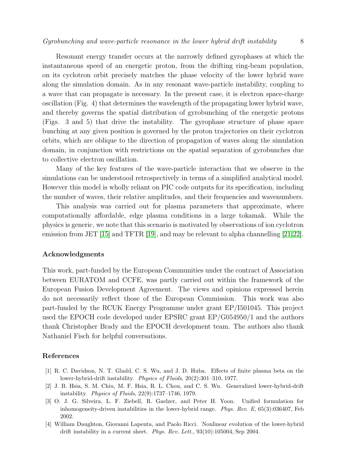Resonant energy transfer occurs at the narrowly defined gyrophases at which the instantaneous speed of an energetic proton, from the drifting ring-beam population, on its cyclotron orbit precisely matches the phase velocity of the lower hybrid wave along the simulation domain. As in any resonant wave-particle instability, coupling to a wave that can propagate is necessary. In the present case, it is electron space-charge oscillation (Fig. 4) that determines the wavelength of the propagating lower hybrid wave, and thereby governs the spatial distribution of gyrobunching of the energetic protons (Figs. 3 and 5) that drive the instability. The gyrophase structure of phase space bunching at any given position is governed by the proton trajectories on their cyclotron orbits, which are oblique to the direction of propagation of waves along the simulation domain, in conjunction with restrictions on the spatial separation of gyrobunches due to collective electron oscillation.

Many of the key features of the wave-particle interaction that we observe in the simulations can be understood retrospectively in terms of a simplified analytical model. However this model is wholly reliant on PIC code outputs for its specification, including the number of waves, their relative amplitudes, and their frequencies and wavenumbers.

This analysis was carried out for plasma parameters that approximate, where computationally affordable, edge plasma conditions in a large tokamak. While the physics is generic, we note that this scenario is motivated by observations of ion cyclotron emission from JET [\[15\]](#page-8-6) and TFTR [\[19\]](#page-8-10), and may be relevant to alpha channelling [\[21,](#page-8-11)[22\]](#page-8-12).

#### Acknowledgments

This work, part-funded by the European Communities under the contract of Association between EURATOM and CCFE, was partly carried out within the framework of the European Fusion Development Agreement. The views and opinions expressed herein do not necessarily reflect those of the European Commission. This work was also part-funded by the RCUK Energy Programme under grant EP/I501045. This project used the EPOCH code developed under EPSRC grant EP/G054950/1 and the authors thank Christopher Brady and the EPOCH development team. The authors also thank Nathaniel Fisch for helpful conversations.

### <span id="page-7-0"></span>References

- [1] R. C. Davidson, N. T. Gladd, C. S. Wu, and J. D. Huba. Effects of finite plasma beta on the lower-hybrid-drift instability. Physics of Fluids, 20(2):301–310, 1977.
- [2] J. B. Hsia, S. M. Chiu, M. F. Hsia, R. L. Chou, and C. S. Wu. Generalized lower-hybrid-drift instability. Physics of Fluids, 22(9):1737–1746, 1979.
- [3] O. J. G. Silveira, L. F. Ziebell, R. Gaelzer, and Peter H. Yoon. Unified formulation for inhomogeneity-driven instabilities in the lower-hybrid range. *Phys. Rev. E*,  $65(3):036407$ , Feb 2002.
- <span id="page-7-1"></span>[4] William Daughton, Giovanni Lapenta, and Paolo Ricci. Nonlinear evolution of the lower-hybrid drift instability in a current sheet. Phys. Rev. Lett., 93(10):105004, Sep 2004.